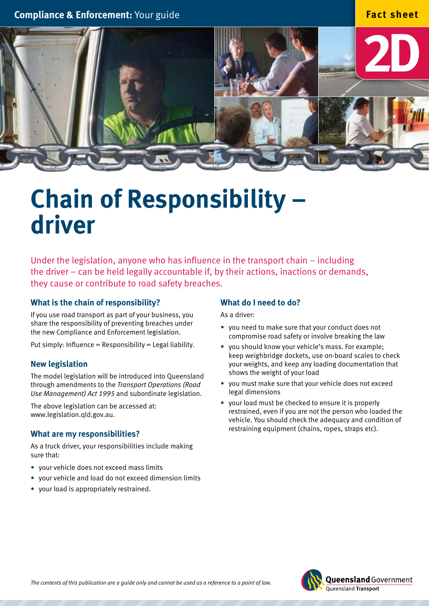

# **Chain of Responsibility – driver**

Under the legislation, anyone who has influence in the transport chain – including the driver – can be held legally accountable if, by their actions, inactions or demands, they cause or contribute to road safety breaches.

## **What is the chain of responsibility?**

If you use road transport as part of your business, you share the responsibility of preventing breaches under the new Compliance and Enforcement legislation.

Put simply: Influence = Responsibility = Legal liability.

## **New legislation**

The model legislation will be introduced into Queensland through amendments to the *Transport Operations (Road Use Management) Act 1995* and subordinate legislation.

The above legislation can be accessed at: www.legislation.qld.gov.au.

#### **What are my responsibilities?**

As a truck driver, your responsibilities include making sure that:

- • your vehicle does not exceed mass limits
- your vehicle and load do not exceed dimension limits
- your load is appropriately restrained.

## **What do I need to do?**

As a driver:

- you need to make sure that your conduct does not compromise road safety or involve breaking the law
- vou should know your vehicle's mass. For example: keep weighbridge dockets, use on-board scales to check your weights, and keep any loading documentation that shows the weight of your load
- you must make sure that your vehicle does not exceed legal dimensions
- your load must be checked to ensure it is properly restrained, even if you are not the person who loaded the vehicle. You should check the adequacy and condition of restraining equipment (chains, ropes, straps etc).